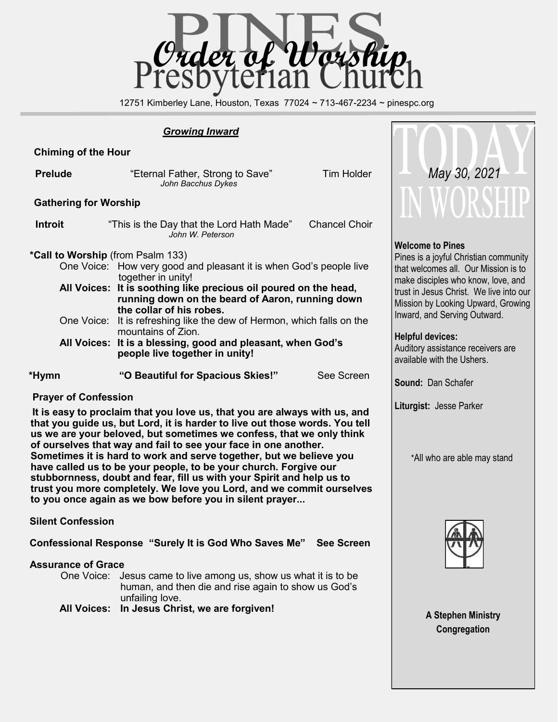

12751 Kimberley Lane, Houston, Texas 77024 ~ 713-467-2234 ~ pinespc.org

### *Growing Inward*

## **Chiming of the Hour**

| <b>Prelude</b>                           | "Eternal Father, Strong to Save"<br>John Bacchus Dykes                                                                                                                                                                                       | <b>Tim Holder</b> |  |  |  |
|------------------------------------------|----------------------------------------------------------------------------------------------------------------------------------------------------------------------------------------------------------------------------------------------|-------------------|--|--|--|
| <b>Gathering for Worship</b>             |                                                                                                                                                                                                                                              |                   |  |  |  |
| <b>Introit</b>                           | <b>Chancel Choir</b><br>"This is the Day that the Lord Hath Made"<br>John W. Peterson                                                                                                                                                        |                   |  |  |  |
| <b>*Call to Worship</b> (from Psalm 133) | One Voice: How very good and pleasant it is when God's people live<br>together in unity!<br>All Voices: It is soothing like precious oil poured on the head,<br>running down on the beard of Aaron, running down<br>the collar of his robes. |                   |  |  |  |
|                                          | One Voice: It is refreshing like the dew of Hermon, which falls on the<br>mountains of Zion.                                                                                                                                                 |                   |  |  |  |
|                                          | All Voices: It is a blessing, good and pleasant, when God's<br>people live together in unity!                                                                                                                                                |                   |  |  |  |
| *Hymn                                    | "O Beautiful for Spacious Skies!"                                                                                                                                                                                                            | See Screen        |  |  |  |

### **Prayer of Confession**

 **It is easy to proclaim that you love us, that you are always with us, and that you guide us, but Lord, it is harder to live out those words. You tell us we are your beloved, but sometimes we confess, that we only think of ourselves that way and fail to see your face in one another. Sometimes it is hard to work and serve together, but we believe you have called us to be your people, to be your church. Forgive our stubbornness, doubt and fear, fill us with your Spirit and help us to trust you more completely. We love you Lord, and we commit ourselves to you once again as we bow before you in silent prayer...**

### **Silent Confession**

**Confessional Response "Surely It is God Who Saves Me" See Screen**

### **Assurance of Grace**

One Voice: Jesus came to live among us, show us what it is to be human, and then die and rise again to show us God's unfailing love.

**All Voices: In Jesus Christ, we are forgiven!**



### **Welcome to Pines**

Pines is a joyful Christian community that welcomes all. Our Mission is to make disciples who know, love, and trust in Jesus Christ. We live into our Mission by Looking Upward, Growing Inward, and Serving Outward.

### **Helpful devices:**

Auditory assistance receivers are available with the Ushers.

**Sound:** Dan Schafer

**Liturgist:** Jesse Parker

\*All who are able may stand



**A Stephen Ministry Congregation**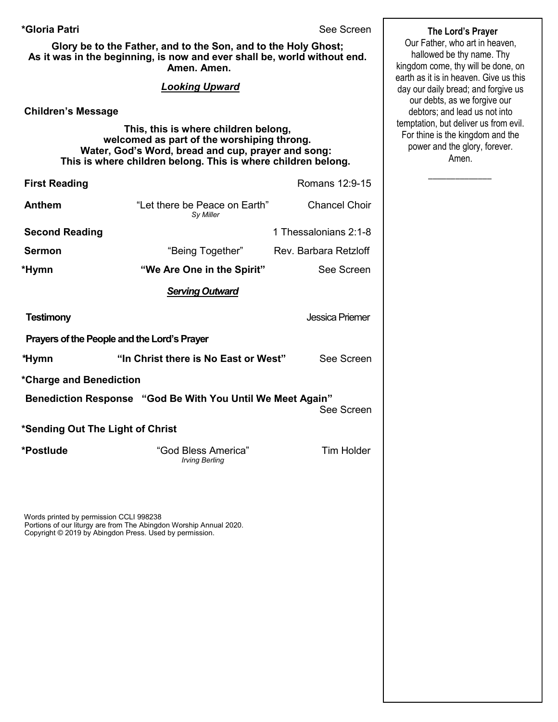### **\*Gloria Patri** See Screen

**Glory be to the Father, and to the Son, and to the Holy Ghost; As it was in the beginning, is now and ever shall be, world without end. Amen. Amen.** 

### *Looking Upward*

**Children's Message**

 **This, this is where children belong, welcomed as part of the worshiping throng. Water, God's Word, bread and cup, prayer and song: This is where children belong. This is where children belong.**

| <b>First Reading</b>                                       |                                            | Romans 12:9-15         |  |  |
|------------------------------------------------------------|--------------------------------------------|------------------------|--|--|
| Anthem                                                     | "Let there be Peace on Earth"<br>Sy Miller | <b>Chancel Choir</b>   |  |  |
| <b>Second Reading</b>                                      |                                            | 1 Thessalonians 2:1-8  |  |  |
| <b>Sermon</b>                                              | "Being Together"                           | Rev. Barbara Retzloff  |  |  |
| *Hymn                                                      | "We Are One in the Spirit"                 | See Screen             |  |  |
|                                                            | <b>Serving Outward</b>                     |                        |  |  |
| <b>Testimony</b>                                           |                                            | <b>Jessica Priemer</b> |  |  |
| Prayers of the People and the Lord's Prayer                |                                            |                        |  |  |
| *Hymn                                                      | "In Christ there is No East or West"       | See Screen             |  |  |
| *Charge and Benediction                                    |                                            |                        |  |  |
| Benediction Response "God Be With You Until We Meet Again" |                                            |                        |  |  |

See Screen

**\*Sending Out The Light of Christ** 

**\*Postlude** "God Bless America" Tim Holder  *Irving Berling*

Words printed by permission CCLI 998238 Portions of our liturgy are from The Abingdon Worship Annual 2020. Copyright © 2019 by Abingdon Press. Used by permission.

**The Lord's Prayer**

Our Father, who art in heaven, hallowed be thy name. Thy kingdom come, thy will be done, on earth as it is in heaven. Give us this day our daily bread; and forgive us our debts, as we forgive our debtors; and lead us not into temptation, but deliver us from evil. For thine is the kingdom and the power and the glory, forever. Amen.

 $\overline{\phantom{a}}$  ,  $\overline{\phantom{a}}$  ,  $\overline{\phantom{a}}$  ,  $\overline{\phantom{a}}$  ,  $\overline{\phantom{a}}$  ,  $\overline{\phantom{a}}$  ,  $\overline{\phantom{a}}$  ,  $\overline{\phantom{a}}$  ,  $\overline{\phantom{a}}$  ,  $\overline{\phantom{a}}$  ,  $\overline{\phantom{a}}$  ,  $\overline{\phantom{a}}$  ,  $\overline{\phantom{a}}$  ,  $\overline{\phantom{a}}$  ,  $\overline{\phantom{a}}$  ,  $\overline{\phantom{a}}$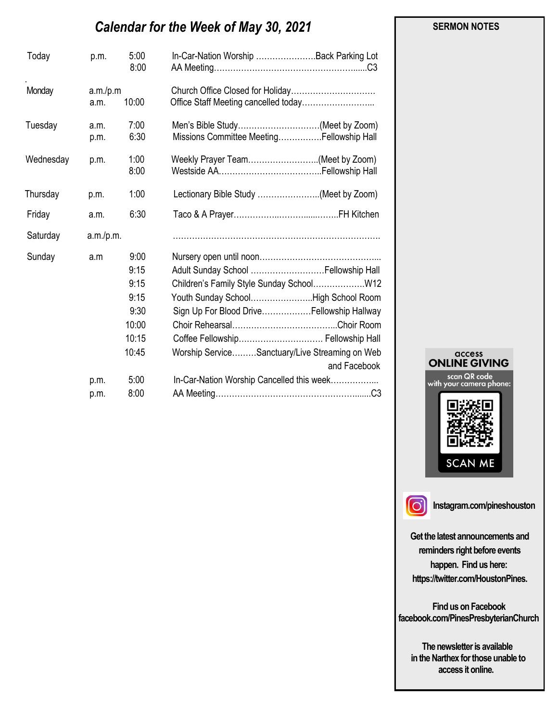# *Calendar for the Week of May 30, 2021*

| p.m.                  | 5:00<br>8:00                                                    | In-Car-Nation Worship Back Parking Lot                                                                                                                                                                                                                                                                                    |
|-----------------------|-----------------------------------------------------------------|---------------------------------------------------------------------------------------------------------------------------------------------------------------------------------------------------------------------------------------------------------------------------------------------------------------------------|
| a.m.                  | 10:00                                                           |                                                                                                                                                                                                                                                                                                                           |
| a.m.<br>p.m.          | 7:00<br>6:30                                                    | Men's Bible Study(Meet by Zoom)<br>Missions Committee MeetingFellowship Hall                                                                                                                                                                                                                                              |
| p.m.                  | 1:00<br>8:00                                                    | Weekly Prayer Team(Meet by Zoom)                                                                                                                                                                                                                                                                                          |
| p.m.                  | 1:00                                                            | Lectionary Bible Study (Meet by Zoom)                                                                                                                                                                                                                                                                                     |
| a.m.                  | 6:30                                                            |                                                                                                                                                                                                                                                                                                                           |
| Saturday<br>a.m./p.m. |                                                                 |                                                                                                                                                                                                                                                                                                                           |
| a.m                   | 9:00<br>9:15<br>9:15<br>9:15<br>9:30<br>10:00<br>10:15<br>10:45 | Adult Sunday School  Fellowship Hall<br>Children's Family Style Sunday School W12<br>Youth Sunday SchoolHigh School Room<br>Sign Up For Blood DriveFellowship Hallway<br>Coffee Fellowship Fellowship Hall<br>Worship ServiceSanctuary/Live Streaming on Web<br>and Facebook<br>In-Car-Nation Worship Cancelled this week |
| p.m.                  | 8:00                                                            |                                                                                                                                                                                                                                                                                                                           |
|                       | p.m.                                                            | a.m./p.m<br>5:00                                                                                                                                                                                                                                                                                                          |





**Instagram.com/pineshouston**

**Get the latest announcements and reminders right before events happen. Find us here: https://twitter.com/HoustonPines.** 

 **Find us on Facebook facebook.com/PinesPresbyterianChurch** 

 **The newsletter is available in the Narthex for those unable to access it online.** 

#### **SERMON NOTES**